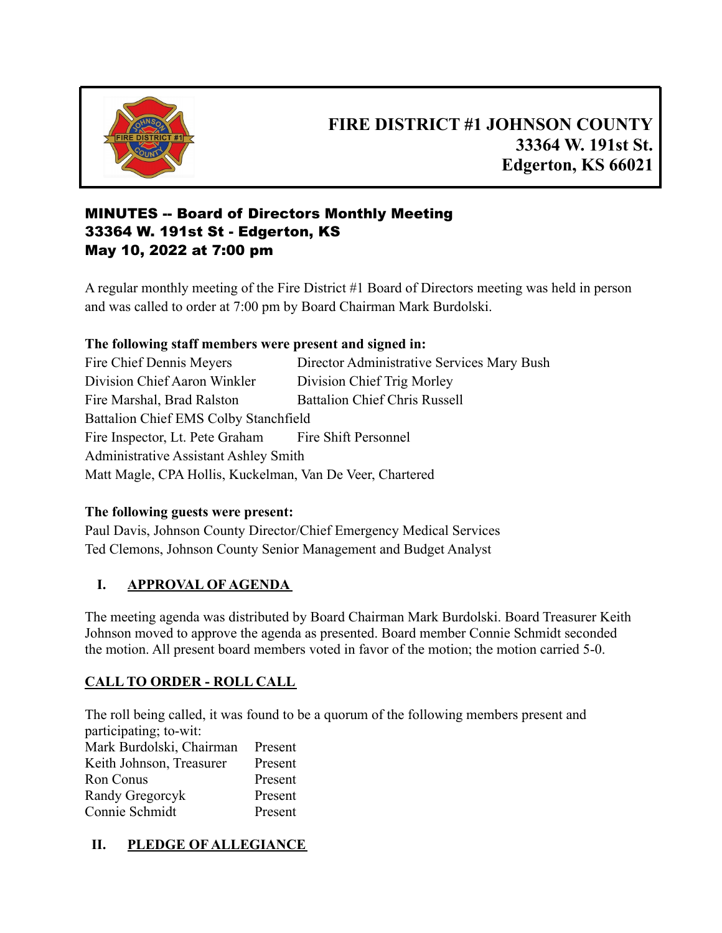

# **FIRE DISTRICT #1 JOHNSON COUNTY 33364 W. 191st St. Edgerton, KS 66021**

# MINUTES -- Board of Directors Monthly Meeting 33364 W. 191st St - Edgerton, KS May 10, 2022 at 7:00 pm

A regular monthly meeting of the Fire District #1 Board of Directors meeting was held in person and was called to order at 7:00 pm by Board Chairman Mark Burdolski.

### **The following staff members were present and signed in:**

Fire Chief Dennis Meyers Director Administrative Services Mary Bush Division Chief Aaron Winkler Division Chief Trig Morley Fire Marshal, Brad Ralston Battalion Chief Chris Russell Battalion Chief EMS Colby Stanchfield Fire Inspector, Lt. Pete Graham Fire Shift Personnel Administrative Assistant Ashley Smith Matt Magle, CPA Hollis, Kuckelman, Van De Veer, Chartered

#### **The following guests were present:**

Paul Davis, Johnson County Director/Chief Emergency Medical Services Ted Clemons, Johnson County Senior Management and Budget Analyst

# **I. APPROVAL OF AGENDA**

The meeting agenda was distributed by Board Chairman Mark Burdolski. Board Treasurer Keith Johnson moved to approve the agenda as presented. Board member Connie Schmidt seconded the motion. All present board members voted in favor of the motion; the motion carried 5-0.

# **CALL TO ORDER - ROLL CALL**

The roll being called, it was found to be a quorum of the following members present and participating; to-wit:

| Mark Burdolski, Chairman | Present |
|--------------------------|---------|
| Keith Johnson, Treasurer | Present |
| Ron Conus                | Present |
| Randy Gregorcyk          | Present |
| Connie Schmidt           | Present |

# **II. PLEDGE OF ALLEGIANCE**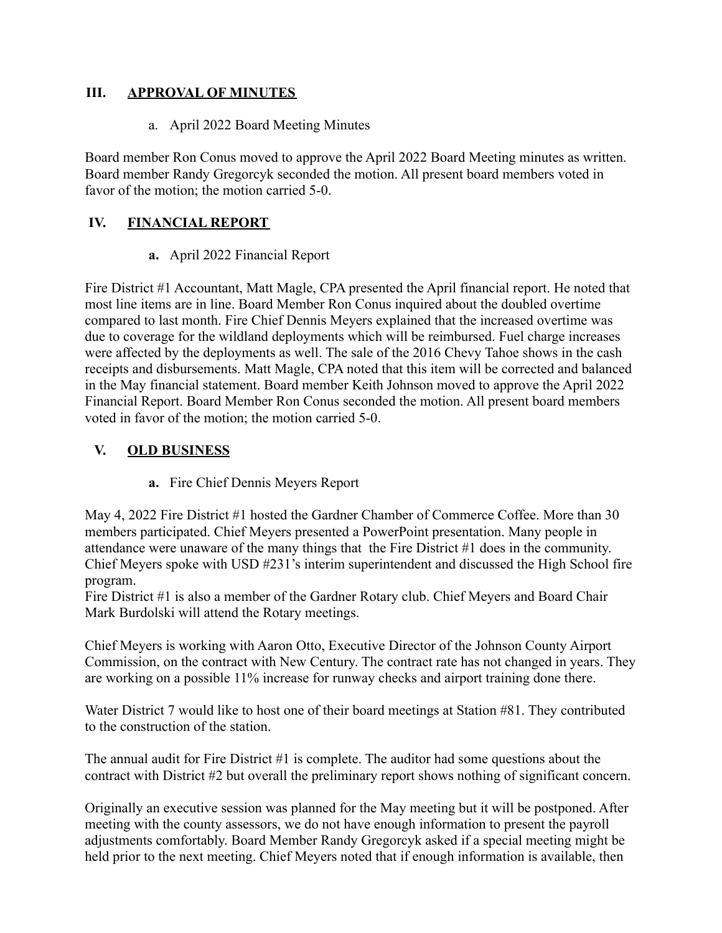#### **III. APPROVAL OF MINUTES**

a. April 2022 Board Meeting Minutes

Board member Ron Conus moved to approve the April 2022 Board Meeting minutes as written. Board member Randy Gregorcyk seconded the motion. All present board members voted in favor of the motion; the motion carried 5-0.

## **IV. FINANCIAL REPORT**

#### **a.** April 2022 Financial Report

Fire District #1 Accountant, Matt Magle, CPA presented the April financial report. He noted that most line items are in line. Board Member Ron Conus inquired about the doubled overtime compared to last month. Fire Chief Dennis Meyers explained that the increased overtime was due to coverage for the wildland deployments which will be reimbursed. Fuel charge increases were affected by the deployments as well. The sale of the 2016 Chevy Tahoe shows in the cash receipts and disbursements. Matt Magle, CPA noted that this item will be corrected and balanced in the May financial statement. Board member Keith Johnson moved to approve the April 2022 Financial Report. Board Member Ron Conus seconded the motion. All present board members voted in favor of the motion; the motion carried 5-0.

### **V. OLD BUSINESS**

**a.** Fire Chief Dennis Meyers Report

May 4, 2022 Fire District #1 hosted the Gardner Chamber of Commerce Coffee. More than 30 members participated. Chief Meyers presented a PowerPoint presentation. Many people in attendance were unaware of the many things that the Fire District #1 does in the community. Chief Meyers spoke with USD #231's interim superintendent and discussed the High School fire program.

Fire District #1 is also a member of the Gardner Rotary club. Chief Meyers and Board Chair Mark Burdolski will attend the Rotary meetings.

Chief Meyers is working with Aaron Otto, Executive Director of the Johnson County Airport Commission, on the contract with New Century. The contract rate has not changed in years. They are working on a possible 11% increase for runway checks and airport training done there.

Water District 7 would like to host one of their board meetings at Station #81. They contributed to the construction of the station.

The annual audit for Fire District #1 is complete. The auditor had some questions about the contract with District #2 but overall the preliminary report shows nothing of significant concern.

Originally an executive session was planned for the May meeting but it will be postponed. After meeting with the county assessors, we do not have enough information to present the payroll adjustments comfortably. Board Member Randy Gregorcyk asked if a special meeting might be held prior to the next meeting. Chief Meyers noted that if enough information is available, then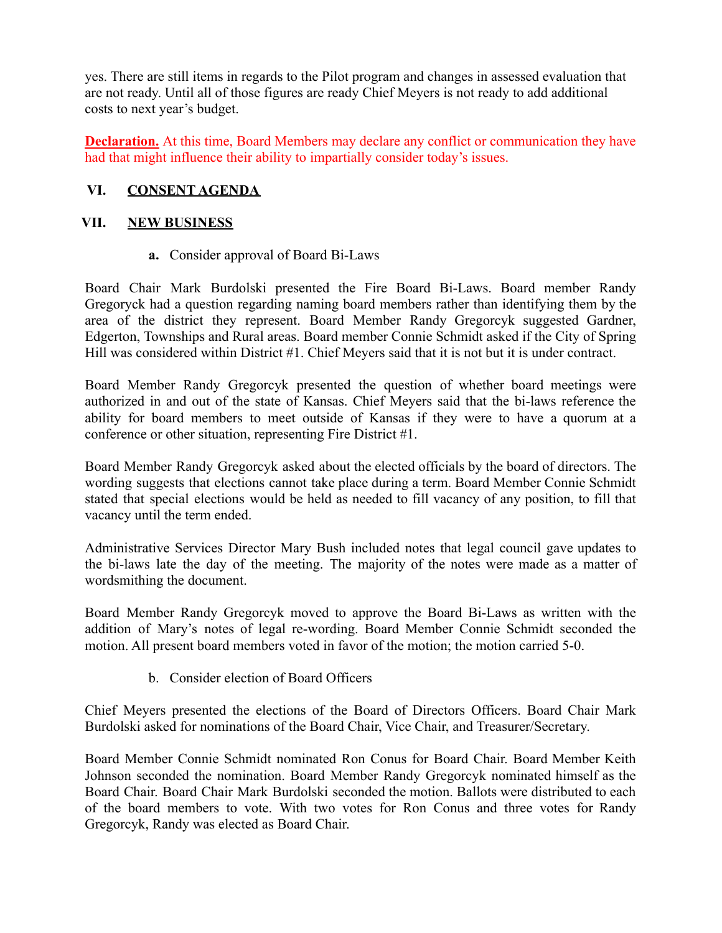yes. There are still items in regards to the Pilot program and changes in assessed evaluation that are not ready. Until all of those figures are ready Chief Meyers is not ready to add additional costs to next year's budget.

**Declaration.** At this time, Board Members may declare any conflict or communication they have had that might influence their ability to impartially consider today's issues.

#### **VI. CONSENT AGENDA**

#### **VII. NEW BUSINESS**

**a.** Consider approval of Board Bi-Laws

Board Chair Mark Burdolski presented the Fire Board Bi-Laws. Board member Randy Gregoryck had a question regarding naming board members rather than identifying them by the area of the district they represent. Board Member Randy Gregorcyk suggested Gardner, Edgerton, Townships and Rural areas. Board member Connie Schmidt asked if the City of Spring Hill was considered within District #1. Chief Meyers said that it is not but it is under contract.

Board Member Randy Gregorcyk presented the question of whether board meetings were authorized in and out of the state of Kansas. Chief Meyers said that the bi-laws reference the ability for board members to meet outside of Kansas if they were to have a quorum at a conference or other situation, representing Fire District #1.

Board Member Randy Gregorcyk asked about the elected officials by the board of directors. The wording suggests that elections cannot take place during a term. Board Member Connie Schmidt stated that special elections would be held as needed to fill vacancy of any position, to fill that vacancy until the term ended.

Administrative Services Director Mary Bush included notes that legal council gave updates to the bi-laws late the day of the meeting. The majority of the notes were made as a matter of wordsmithing the document.

Board Member Randy Gregorcyk moved to approve the Board Bi-Laws as written with the addition of Mary's notes of legal re-wording. Board Member Connie Schmidt seconded the motion. All present board members voted in favor of the motion; the motion carried 5-0.

b. Consider election of Board Officers

Chief Meyers presented the elections of the Board of Directors Officers. Board Chair Mark Burdolski asked for nominations of the Board Chair, Vice Chair, and Treasurer/Secretary.

Board Member Connie Schmidt nominated Ron Conus for Board Chair. Board Member Keith Johnson seconded the nomination. Board Member Randy Gregorcyk nominated himself as the Board Chair. Board Chair Mark Burdolski seconded the motion. Ballots were distributed to each of the board members to vote. With two votes for Ron Conus and three votes for Randy Gregorcyk, Randy was elected as Board Chair.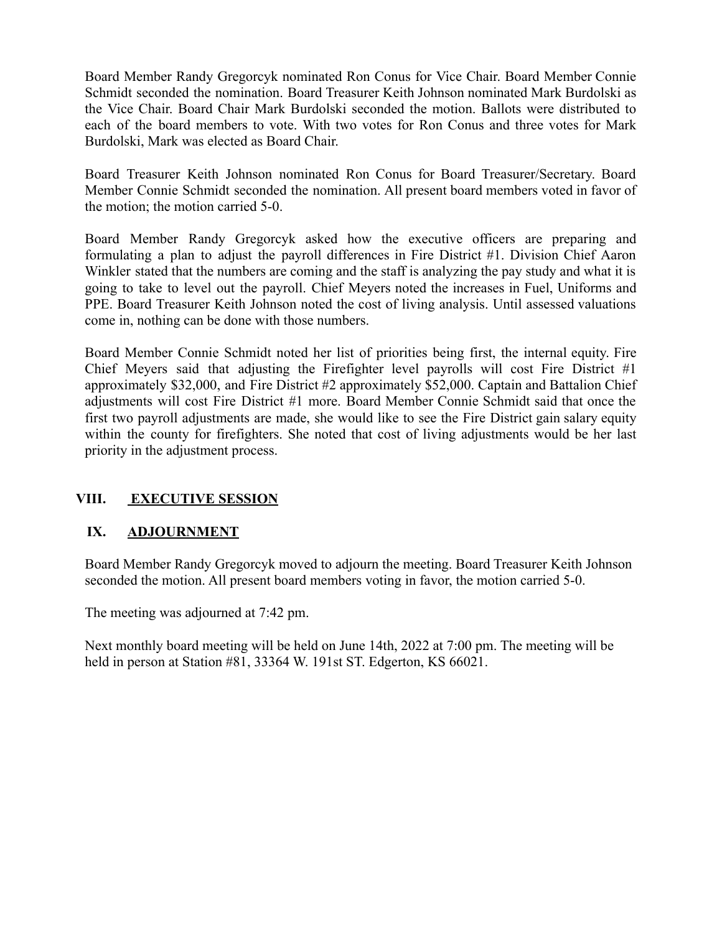Board Member Randy Gregorcyk nominated Ron Conus for Vice Chair. Board Member Connie Schmidt seconded the nomination. Board Treasurer Keith Johnson nominated Mark Burdolski as the Vice Chair. Board Chair Mark Burdolski seconded the motion. Ballots were distributed to each of the board members to vote. With two votes for Ron Conus and three votes for Mark Burdolski, Mark was elected as Board Chair.

Board Treasurer Keith Johnson nominated Ron Conus for Board Treasurer/Secretary. Board Member Connie Schmidt seconded the nomination. All present board members voted in favor of the motion; the motion carried 5-0.

Board Member Randy Gregorcyk asked how the executive officers are preparing and formulating a plan to adjust the payroll differences in Fire District #1. Division Chief Aaron Winkler stated that the numbers are coming and the staff is analyzing the pay study and what it is going to take to level out the payroll. Chief Meyers noted the increases in Fuel, Uniforms and PPE. Board Treasurer Keith Johnson noted the cost of living analysis. Until assessed valuations come in, nothing can be done with those numbers.

Board Member Connie Schmidt noted her list of priorities being first, the internal equity. Fire Chief Meyers said that adjusting the Firefighter level payrolls will cost Fire District #1 approximately \$32,000, and Fire District #2 approximately \$52,000. Captain and Battalion Chief adjustments will cost Fire District #1 more. Board Member Connie Schmidt said that once the first two payroll adjustments are made, she would like to see the Fire District gain salary equity within the county for firefighters. She noted that cost of living adjustments would be her last priority in the adjustment process.

# **VIII. EXECUTIVE SESSION**

# **IX. ADJOURNMENT**

Board Member Randy Gregorcyk moved to adjourn the meeting. Board Treasurer Keith Johnson seconded the motion. All present board members voting in favor, the motion carried 5-0.

The meeting was adjourned at 7:42 pm.

Next monthly board meeting will be held on June 14th, 2022 at 7:00 pm. The meeting will be held in person at Station #81, 33364 W. 191st ST. Edgerton, KS 66021.